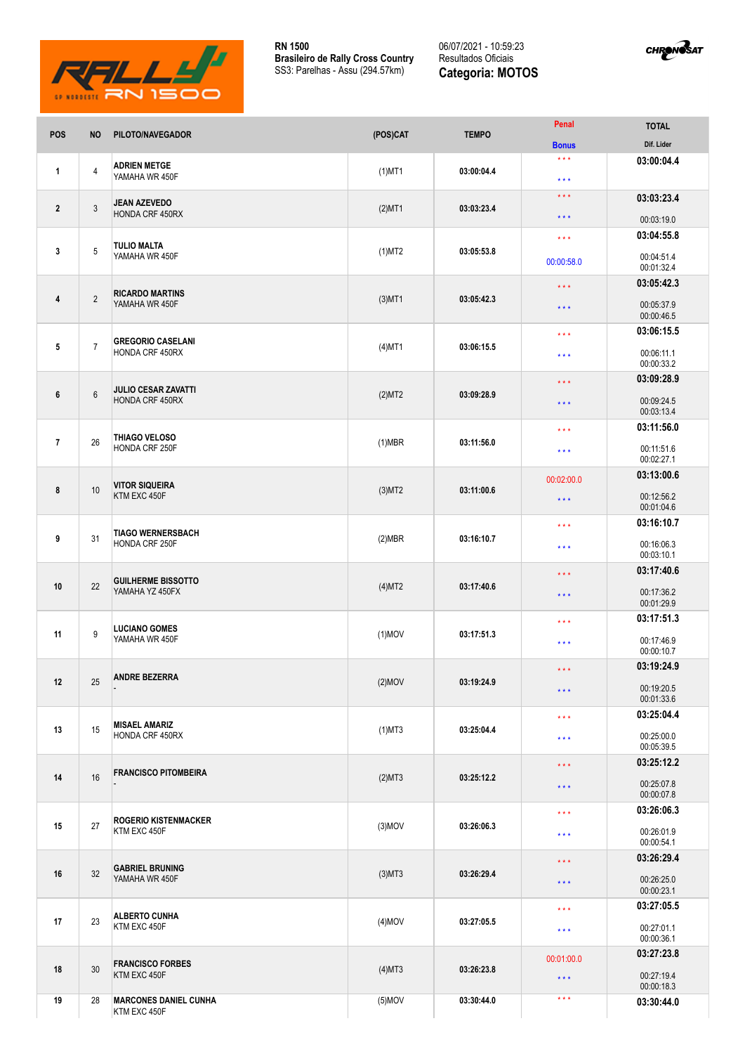

**RN 1500 Brasileiro de Rally Cross Country** SS3: Parelhas - Assu (294.57km)

06/07/2021 - 10:59:23 Resultados Oficiais **Categoria: MOTOS**



| POS             | <b>NO</b>      | PILOTO/NAVEGADOR                                     | (POS)CAT  | <b>TEMPO</b> | Penal                                  | <b>TOTAL</b>             |
|-----------------|----------------|------------------------------------------------------|-----------|--------------|----------------------------------------|--------------------------|
|                 |                |                                                      |           |              | <b>Bonus</b>                           | Dif. Lider               |
| 1               | 4              | <b>ADRIEN METGE</b><br>YAMAHA WR 450F                | $(1)$ MT1 | 03:00:04.4   | $\star\star\star$<br>$\star\star\star$ | 03:00:04.4               |
| $\overline{2}$  |                | <b>JEAN AZEVEDO</b><br>HONDA CRF 450RX               | $(2)$ MT1 | 03:03:23.4   | $\star\star\star$                      | 03:03:23.4               |
|                 | 3              |                                                      |           |              | $\star\star\star$                      | 00:03:19.0               |
|                 |                | <b>TULIO MALTA</b><br>YAMAHA WR 450F                 | $(1)$ MT2 | 03:05:53.8   | $\star\star\star$                      | 03:04:55.8               |
| 3               | 5              |                                                      |           |              | 00:00:58.0                             | 00:04:51.4<br>00:01:32.4 |
|                 | $\overline{2}$ | <b>RICARDO MARTINS</b><br>YAMAHA WR 450F             | $(3)$ MT1 | 03:05:42.3   | $\star$ $\star$ $\star$                | 03:05:42.3               |
| 4               |                |                                                      |           |              | $***$                                  | 00:05:37.9<br>00:00:46.5 |
|                 |                |                                                      |           |              | $***$                                  | 03:06:15.5               |
| $5\phantom{.0}$ | $\overline{7}$ | <b>GREGORIO CASELANI</b><br><b>HONDA CRF 450RX</b>   | $(4)$ MT1 | 03:06:15.5   | $\star \star \star$                    | 00:06:11.1<br>00:00:33.2 |
|                 |                | <b>JULIO CESAR ZAVATTI</b><br><b>HONDA CRF 450RX</b> | (2)MT2    | 03:09:28.9   | $\star \star \star$                    | 03:09:28.9               |
| 6               | $6\phantom{1}$ |                                                      |           |              | $\star\star\star$                      | 00:09:24.5<br>00:03:13.4 |
|                 |                |                                                      |           | 03:11:56.0   | $\star \star \star$                    | 03:11:56.0               |
| $\overline{7}$  | 26             | THIAGO VELOSO<br>HONDA CRF 250F                      | $(1)$ MBR |              | $\star\star\star$                      | 00:11:51.6<br>00:02:27.1 |
|                 |                | <b>VITOR SIQUEIRA</b><br>KTM EXC 450F                | $(3)$ MT2 |              | 00:02:00.0                             | 03:13:00.6               |
| 8               | 10             |                                                      |           | 03:11:00.6   | $***$                                  | 00:12:56.2<br>00:01:04.6 |
|                 | 31             | <b>TIAGO WERNERSBACH</b><br>HONDA CRF 250F           | (2)MBR    | 03:16:10.7   | $***$                                  | 03:16:10.7               |
| 9               |                |                                                      |           |              | $\star \star \star$                    | 00:16:06.3<br>00:03:10.1 |
|                 | 22             | <b>GUILHERME BISSOTTO</b><br>YAMAHA YZ 450FX         | (4)MT2    | 03:17:40.6   | $***$                                  | 03:17:40.6               |
| 10              |                |                                                      |           |              | $\star\star\star$                      | 00:17:36.2<br>00:01:29.9 |
|                 |                | <b>LUCIANO GOMES</b><br>YAMAHA WR 450F               | $(1)$ MOV | 03:17:51.3   | $***$                                  | 03:17:51.3               |
| 11              | 9              |                                                      |           |              | $***$                                  | 00:17:46.9<br>00:00:10.7 |
| 12              | 25             | <b>ANDRE BEZERRA</b>                                 | $(2)$ MOV | 03:19:24.9   | $\star\star\star$                      | 03:19:24.9               |
|                 |                |                                                      |           |              | $\star\star\star$                      | 00:19:20.5<br>00:01:33.6 |
|                 |                |                                                      |           |              |                                        | 03:25:04.4               |
| 13              | 15             | <b>MISAEL AMARIZ</b><br>HONDA CRF 450RX              | $(1)$ MT3 | 03:25:04.4   | $\star\star\star$<br>$\star\star\star$ | 00:25:00.0               |
|                 |                |                                                      |           |              |                                        | 00:05:39.5               |
| 14              | 16             | <b>FRANCISCO PITOMBEIRA</b>                          | (2)MT3    | 03:25:12.2   | $\star\star\star$                      | 03:25:12.2               |
|                 |                |                                                      |           |              | $\star\star\star$                      | 00:25:07.8<br>00:00:07.8 |
| 15              | 27             | <b>ROGERIO KISTENMACKER</b><br>KTM EXC 450F          | $(3)$ MOV | 03:26:06.3   | $\star\star\star$                      | 03:26:06.3               |
|                 |                |                                                      |           |              | $\star\star\star$                      | 00:26:01.9<br>00:00:54.1 |
| 16              | 32             | <b>GABRIEL BRUNING</b><br>YAMAHA WR 450F             | $(3)$ MT3 | 03:26:29.4   | $\star\star\star$                      | 03:26:29.4               |
|                 |                |                                                      |           |              | $\star\star\star$                      | 00:26:25.0<br>00:00:23.1 |
| 17              |                | <b>ALBERTO CUNHA</b><br>KTM EXC 450F                 | $(4)$ MOV |              | $\star\star\star$                      | 03:27:05.5               |
|                 | 23             |                                                      |           | 03:27:05.5   | $***$                                  | 00:27:01.1<br>00:00:36.1 |
|                 |                | <b>FRANCISCO FORBES</b><br>KTM EXC 450F              | $(4)$ MT3 | 03:26:23.8   | 00:01:00.0                             | 03:27:23.8               |
| 18              | 30             |                                                      |           |              | $\star\star\star$                      | 00:27:19.4<br>00:00:18.3 |
| 19              | 28             | <b>MARCONES DANIEL CUNHA</b><br>KTM EXC 450F         | $(5)$ MOV | 03:30:44.0   | $\star$ $\star$ $\star$                | 03:30:44.0               |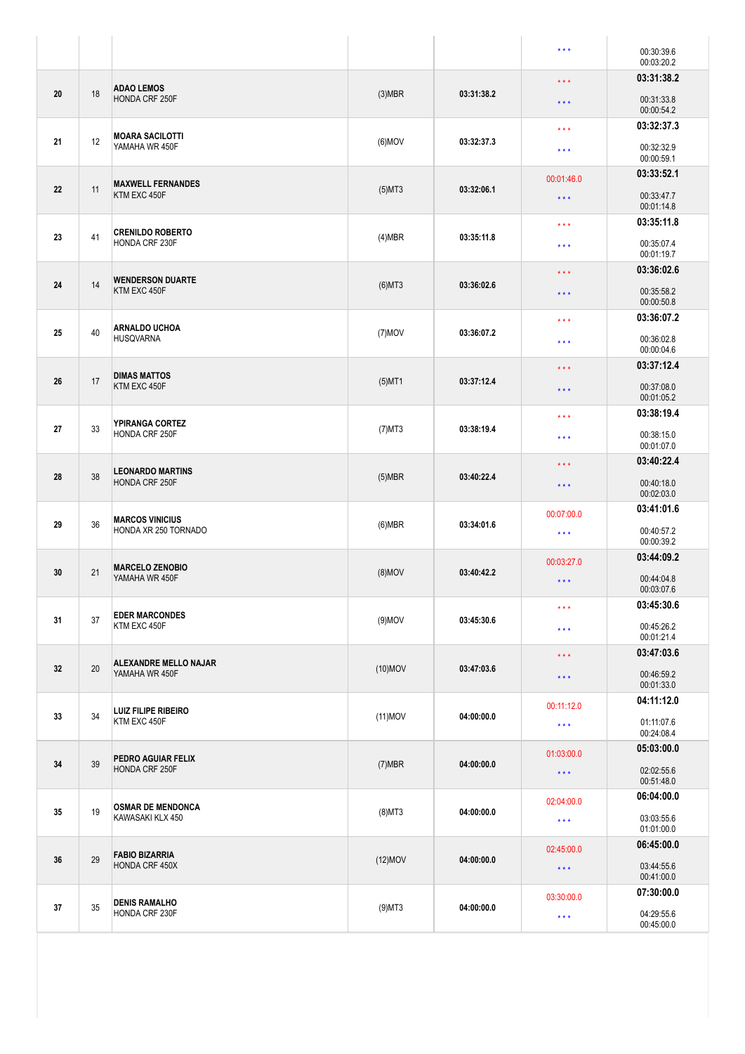| 03:31:38.2<br>$\star \star \star$<br><b>ADAO LEMOS</b><br>18<br>20<br>$(3)$ MBR<br>03:31:38.2<br><b>HONDA CRF 250F</b><br>00:31:33.8<br>$\star\star\star$<br>00:00:54.2<br>03:32:37.3<br>$\star \star \star$<br><b>MOARA SACILOTTI</b><br>12<br>21<br>$(6)$ MOV<br>03:32:37.3<br>YAMAHA WR 450F<br>00:32:32.9<br>$\star \star \star$<br>00:00:59.1<br>03:33:52.1<br>00:01:46.0<br><b>MAXWELL FERNANDES</b><br>22<br>11<br>$(5)$ MT3<br>03:32:06.1<br>KTM EXC 450F<br>00:33:47.7<br>$\star\star\star$<br>00:01:14.8<br>03:35:11.8<br>$\star\star\star$<br><b>CRENILDO ROBERTO</b><br>41<br>23<br>03:35:11.8<br>(4)MBR<br>HONDA CRF 230F<br>00:35:07.4<br>$* * *$<br>00:01:19.7<br>03:36:02.6<br>$\star\star\star$<br><b>WENDERSON DUARTE</b><br>14<br>24<br>$(6)$ MT3<br>03:36:02.6<br>KTM EXC 450F<br>00:35:58.2<br>$\star\star\star$<br>00:00:50.8<br>03:36:07.2<br>$\star \star \star$<br><b>ARNALDO UCHOA</b><br>40<br>25<br>$(7)$ MOV<br>03:36:07.2<br><b>HUSQVARNA</b><br>00:36:02.8<br>$\star\star\star$<br>00:00:04.6<br>03:37:12.4<br>$\star\star\star$<br><b>DIMAS MATTOS</b><br>17<br>26<br>$(5)$ MT1<br>03:37:12.4<br>KTM EXC 450F<br>00:37:08.0<br>$\star \star \star$<br>00:01:05.2<br>03:38:19.4<br>$\star\star\star$<br>YPIRANGA CORTEZ<br>27<br>33<br>$(7)$ MT3<br>03:38:19.4<br><b>HONDA CRF 250F</b><br>00:38:15.0<br>$\star \star \star$<br>00:01:07.0<br>03:40:22.4<br>$\star\star\star$<br><b>LEONARDO MARTINS</b><br>38<br>28<br>03:40:22.4<br>$(5)$ MBR<br><b>HONDA CRF 250F</b><br>00:40:18.0<br>$\star\star\star$<br>00:02:03.0<br>03:41:01.6<br>00:07:00.0<br><b>MARCOS VINICIUS</b><br>36<br>29<br>$(6)$ MBR<br>03:34:01.6<br>HONDA XR 250 TORNADO<br>00:40:57.2<br>$\star\star\star$<br>00:00:39.2<br>03:44:09.2<br>00:03:27.0<br><b>MARCELO ZENOBIO</b><br>21<br>30<br>$(8)$ MOV<br>03:40:42.2<br>YAMAHA WR 450F<br>00:44:04.8<br>$\star\star\star$<br>00:03:07.6<br>03:45:30.6<br>$\star\star\star$<br><b>EDER MARCONDES</b><br>37<br>31<br>$(9)$ MOV<br>03:45:30.6<br>KTM EXC 450F<br>00:45:26.2<br>$***$<br>00:01:21.4<br>03:47:03.6<br>$\star\star\star$<br><b>ALEXANDRE MELLO NAJAR</b><br>20<br>32<br>$(10)$ MOV<br>03:47:03.6<br>YAMAHA WR 450F<br>00:46:59.2<br>$\star\star\star$<br>00:01:33.0<br>04:11:12.0<br>00:11:12.0<br><b>LUIZ FILIPE RIBEIRO</b><br>34<br>33<br>$(11)$ MOV<br>04:00:00.0<br>KTM EXC 450F<br>01:11:07.6<br>$\star\star\star$<br>00:24:08.4<br>05:03:00.0<br>01:03:00.0<br>PEDRO AGUIAR FELIX<br>39<br>34<br>$(7)$ MBR<br>04:00:00.0<br>HONDA CRF 250F<br>02:02:55.6<br>$\star\star\star$<br>00:51:48.0<br>06:04:00.0<br>02:04:00.0<br><b>OSMAR DE MENDONCA</b><br>19<br>35<br>$(8)$ MT3<br>04:00:00.0<br>KAWASAKI KLX 450<br>03:03:55.6<br>$\star\star\star$<br>01:01:00.0<br>06:45:00.0<br>02:45:00.0<br><b>FABIO BIZARRIA</b><br>29<br>36<br>04:00:00.0<br>$(12)$ MOV<br>HONDA CRF 450X<br>03:44:55.6<br>$\star\star\star$<br>00:41:00.0<br>07:30:00.0<br>03:30:00.0<br><b>DENIS RAMALHO</b><br>35<br>37<br>$(9)$ MT3<br>04:00:00.0<br>HONDA CRF 230F<br>04:29:55.6<br>$\star\star\star$<br>00:45:00.0 |  |  |  |  | $***$ | 00:30:39.6<br>00:03:20.2 |
|-----------------------------------------------------------------------------------------------------------------------------------------------------------------------------------------------------------------------------------------------------------------------------------------------------------------------------------------------------------------------------------------------------------------------------------------------------------------------------------------------------------------------------------------------------------------------------------------------------------------------------------------------------------------------------------------------------------------------------------------------------------------------------------------------------------------------------------------------------------------------------------------------------------------------------------------------------------------------------------------------------------------------------------------------------------------------------------------------------------------------------------------------------------------------------------------------------------------------------------------------------------------------------------------------------------------------------------------------------------------------------------------------------------------------------------------------------------------------------------------------------------------------------------------------------------------------------------------------------------------------------------------------------------------------------------------------------------------------------------------------------------------------------------------------------------------------------------------------------------------------------------------------------------------------------------------------------------------------------------------------------------------------------------------------------------------------------------------------------------------------------------------------------------------------------------------------------------------------------------------------------------------------------------------------------------------------------------------------------------------------------------------------------------------------------------------------------------------------------------------------------------------------------------------------------------------------------------------------------------------------------------------------------------------------------------------------------------------------------------------------------------------------------------------------------------------------------------------------------------------------------------------------------------------------------------------------------------------------------------------------------------------------------------------------------------------------|--|--|--|--|-------|--------------------------|
|                                                                                                                                                                                                                                                                                                                                                                                                                                                                                                                                                                                                                                                                                                                                                                                                                                                                                                                                                                                                                                                                                                                                                                                                                                                                                                                                                                                                                                                                                                                                                                                                                                                                                                                                                                                                                                                                                                                                                                                                                                                                                                                                                                                                                                                                                                                                                                                                                                                                                                                                                                                                                                                                                                                                                                                                                                                                                                                                                                                                                                                                       |  |  |  |  |       |                          |
|                                                                                                                                                                                                                                                                                                                                                                                                                                                                                                                                                                                                                                                                                                                                                                                                                                                                                                                                                                                                                                                                                                                                                                                                                                                                                                                                                                                                                                                                                                                                                                                                                                                                                                                                                                                                                                                                                                                                                                                                                                                                                                                                                                                                                                                                                                                                                                                                                                                                                                                                                                                                                                                                                                                                                                                                                                                                                                                                                                                                                                                                       |  |  |  |  |       |                          |
|                                                                                                                                                                                                                                                                                                                                                                                                                                                                                                                                                                                                                                                                                                                                                                                                                                                                                                                                                                                                                                                                                                                                                                                                                                                                                                                                                                                                                                                                                                                                                                                                                                                                                                                                                                                                                                                                                                                                                                                                                                                                                                                                                                                                                                                                                                                                                                                                                                                                                                                                                                                                                                                                                                                                                                                                                                                                                                                                                                                                                                                                       |  |  |  |  |       |                          |
|                                                                                                                                                                                                                                                                                                                                                                                                                                                                                                                                                                                                                                                                                                                                                                                                                                                                                                                                                                                                                                                                                                                                                                                                                                                                                                                                                                                                                                                                                                                                                                                                                                                                                                                                                                                                                                                                                                                                                                                                                                                                                                                                                                                                                                                                                                                                                                                                                                                                                                                                                                                                                                                                                                                                                                                                                                                                                                                                                                                                                                                                       |  |  |  |  |       |                          |
|                                                                                                                                                                                                                                                                                                                                                                                                                                                                                                                                                                                                                                                                                                                                                                                                                                                                                                                                                                                                                                                                                                                                                                                                                                                                                                                                                                                                                                                                                                                                                                                                                                                                                                                                                                                                                                                                                                                                                                                                                                                                                                                                                                                                                                                                                                                                                                                                                                                                                                                                                                                                                                                                                                                                                                                                                                                                                                                                                                                                                                                                       |  |  |  |  |       |                          |
|                                                                                                                                                                                                                                                                                                                                                                                                                                                                                                                                                                                                                                                                                                                                                                                                                                                                                                                                                                                                                                                                                                                                                                                                                                                                                                                                                                                                                                                                                                                                                                                                                                                                                                                                                                                                                                                                                                                                                                                                                                                                                                                                                                                                                                                                                                                                                                                                                                                                                                                                                                                                                                                                                                                                                                                                                                                                                                                                                                                                                                                                       |  |  |  |  |       |                          |
|                                                                                                                                                                                                                                                                                                                                                                                                                                                                                                                                                                                                                                                                                                                                                                                                                                                                                                                                                                                                                                                                                                                                                                                                                                                                                                                                                                                                                                                                                                                                                                                                                                                                                                                                                                                                                                                                                                                                                                                                                                                                                                                                                                                                                                                                                                                                                                                                                                                                                                                                                                                                                                                                                                                                                                                                                                                                                                                                                                                                                                                                       |  |  |  |  |       |                          |
|                                                                                                                                                                                                                                                                                                                                                                                                                                                                                                                                                                                                                                                                                                                                                                                                                                                                                                                                                                                                                                                                                                                                                                                                                                                                                                                                                                                                                                                                                                                                                                                                                                                                                                                                                                                                                                                                                                                                                                                                                                                                                                                                                                                                                                                                                                                                                                                                                                                                                                                                                                                                                                                                                                                                                                                                                                                                                                                                                                                                                                                                       |  |  |  |  |       |                          |
|                                                                                                                                                                                                                                                                                                                                                                                                                                                                                                                                                                                                                                                                                                                                                                                                                                                                                                                                                                                                                                                                                                                                                                                                                                                                                                                                                                                                                                                                                                                                                                                                                                                                                                                                                                                                                                                                                                                                                                                                                                                                                                                                                                                                                                                                                                                                                                                                                                                                                                                                                                                                                                                                                                                                                                                                                                                                                                                                                                                                                                                                       |  |  |  |  |       |                          |
|                                                                                                                                                                                                                                                                                                                                                                                                                                                                                                                                                                                                                                                                                                                                                                                                                                                                                                                                                                                                                                                                                                                                                                                                                                                                                                                                                                                                                                                                                                                                                                                                                                                                                                                                                                                                                                                                                                                                                                                                                                                                                                                                                                                                                                                                                                                                                                                                                                                                                                                                                                                                                                                                                                                                                                                                                                                                                                                                                                                                                                                                       |  |  |  |  |       |                          |
|                                                                                                                                                                                                                                                                                                                                                                                                                                                                                                                                                                                                                                                                                                                                                                                                                                                                                                                                                                                                                                                                                                                                                                                                                                                                                                                                                                                                                                                                                                                                                                                                                                                                                                                                                                                                                                                                                                                                                                                                                                                                                                                                                                                                                                                                                                                                                                                                                                                                                                                                                                                                                                                                                                                                                                                                                                                                                                                                                                                                                                                                       |  |  |  |  |       |                          |
|                                                                                                                                                                                                                                                                                                                                                                                                                                                                                                                                                                                                                                                                                                                                                                                                                                                                                                                                                                                                                                                                                                                                                                                                                                                                                                                                                                                                                                                                                                                                                                                                                                                                                                                                                                                                                                                                                                                                                                                                                                                                                                                                                                                                                                                                                                                                                                                                                                                                                                                                                                                                                                                                                                                                                                                                                                                                                                                                                                                                                                                                       |  |  |  |  |       |                          |
|                                                                                                                                                                                                                                                                                                                                                                                                                                                                                                                                                                                                                                                                                                                                                                                                                                                                                                                                                                                                                                                                                                                                                                                                                                                                                                                                                                                                                                                                                                                                                                                                                                                                                                                                                                                                                                                                                                                                                                                                                                                                                                                                                                                                                                                                                                                                                                                                                                                                                                                                                                                                                                                                                                                                                                                                                                                                                                                                                                                                                                                                       |  |  |  |  |       |                          |
|                                                                                                                                                                                                                                                                                                                                                                                                                                                                                                                                                                                                                                                                                                                                                                                                                                                                                                                                                                                                                                                                                                                                                                                                                                                                                                                                                                                                                                                                                                                                                                                                                                                                                                                                                                                                                                                                                                                                                                                                                                                                                                                                                                                                                                                                                                                                                                                                                                                                                                                                                                                                                                                                                                                                                                                                                                                                                                                                                                                                                                                                       |  |  |  |  |       |                          |
|                                                                                                                                                                                                                                                                                                                                                                                                                                                                                                                                                                                                                                                                                                                                                                                                                                                                                                                                                                                                                                                                                                                                                                                                                                                                                                                                                                                                                                                                                                                                                                                                                                                                                                                                                                                                                                                                                                                                                                                                                                                                                                                                                                                                                                                                                                                                                                                                                                                                                                                                                                                                                                                                                                                                                                                                                                                                                                                                                                                                                                                                       |  |  |  |  |       |                          |
|                                                                                                                                                                                                                                                                                                                                                                                                                                                                                                                                                                                                                                                                                                                                                                                                                                                                                                                                                                                                                                                                                                                                                                                                                                                                                                                                                                                                                                                                                                                                                                                                                                                                                                                                                                                                                                                                                                                                                                                                                                                                                                                                                                                                                                                                                                                                                                                                                                                                                                                                                                                                                                                                                                                                                                                                                                                                                                                                                                                                                                                                       |  |  |  |  |       |                          |
|                                                                                                                                                                                                                                                                                                                                                                                                                                                                                                                                                                                                                                                                                                                                                                                                                                                                                                                                                                                                                                                                                                                                                                                                                                                                                                                                                                                                                                                                                                                                                                                                                                                                                                                                                                                                                                                                                                                                                                                                                                                                                                                                                                                                                                                                                                                                                                                                                                                                                                                                                                                                                                                                                                                                                                                                                                                                                                                                                                                                                                                                       |  |  |  |  |       |                          |
|                                                                                                                                                                                                                                                                                                                                                                                                                                                                                                                                                                                                                                                                                                                                                                                                                                                                                                                                                                                                                                                                                                                                                                                                                                                                                                                                                                                                                                                                                                                                                                                                                                                                                                                                                                                                                                                                                                                                                                                                                                                                                                                                                                                                                                                                                                                                                                                                                                                                                                                                                                                                                                                                                                                                                                                                                                                                                                                                                                                                                                                                       |  |  |  |  |       |                          |
|                                                                                                                                                                                                                                                                                                                                                                                                                                                                                                                                                                                                                                                                                                                                                                                                                                                                                                                                                                                                                                                                                                                                                                                                                                                                                                                                                                                                                                                                                                                                                                                                                                                                                                                                                                                                                                                                                                                                                                                                                                                                                                                                                                                                                                                                                                                                                                                                                                                                                                                                                                                                                                                                                                                                                                                                                                                                                                                                                                                                                                                                       |  |  |  |  |       |                          |
|                                                                                                                                                                                                                                                                                                                                                                                                                                                                                                                                                                                                                                                                                                                                                                                                                                                                                                                                                                                                                                                                                                                                                                                                                                                                                                                                                                                                                                                                                                                                                                                                                                                                                                                                                                                                                                                                                                                                                                                                                                                                                                                                                                                                                                                                                                                                                                                                                                                                                                                                                                                                                                                                                                                                                                                                                                                                                                                                                                                                                                                                       |  |  |  |  |       |                          |
|                                                                                                                                                                                                                                                                                                                                                                                                                                                                                                                                                                                                                                                                                                                                                                                                                                                                                                                                                                                                                                                                                                                                                                                                                                                                                                                                                                                                                                                                                                                                                                                                                                                                                                                                                                                                                                                                                                                                                                                                                                                                                                                                                                                                                                                                                                                                                                                                                                                                                                                                                                                                                                                                                                                                                                                                                                                                                                                                                                                                                                                                       |  |  |  |  |       |                          |
|                                                                                                                                                                                                                                                                                                                                                                                                                                                                                                                                                                                                                                                                                                                                                                                                                                                                                                                                                                                                                                                                                                                                                                                                                                                                                                                                                                                                                                                                                                                                                                                                                                                                                                                                                                                                                                                                                                                                                                                                                                                                                                                                                                                                                                                                                                                                                                                                                                                                                                                                                                                                                                                                                                                                                                                                                                                                                                                                                                                                                                                                       |  |  |  |  |       |                          |
|                                                                                                                                                                                                                                                                                                                                                                                                                                                                                                                                                                                                                                                                                                                                                                                                                                                                                                                                                                                                                                                                                                                                                                                                                                                                                                                                                                                                                                                                                                                                                                                                                                                                                                                                                                                                                                                                                                                                                                                                                                                                                                                                                                                                                                                                                                                                                                                                                                                                                                                                                                                                                                                                                                                                                                                                                                                                                                                                                                                                                                                                       |  |  |  |  |       |                          |
|                                                                                                                                                                                                                                                                                                                                                                                                                                                                                                                                                                                                                                                                                                                                                                                                                                                                                                                                                                                                                                                                                                                                                                                                                                                                                                                                                                                                                                                                                                                                                                                                                                                                                                                                                                                                                                                                                                                                                                                                                                                                                                                                                                                                                                                                                                                                                                                                                                                                                                                                                                                                                                                                                                                                                                                                                                                                                                                                                                                                                                                                       |  |  |  |  |       |                          |
|                                                                                                                                                                                                                                                                                                                                                                                                                                                                                                                                                                                                                                                                                                                                                                                                                                                                                                                                                                                                                                                                                                                                                                                                                                                                                                                                                                                                                                                                                                                                                                                                                                                                                                                                                                                                                                                                                                                                                                                                                                                                                                                                                                                                                                                                                                                                                                                                                                                                                                                                                                                                                                                                                                                                                                                                                                                                                                                                                                                                                                                                       |  |  |  |  |       |                          |
|                                                                                                                                                                                                                                                                                                                                                                                                                                                                                                                                                                                                                                                                                                                                                                                                                                                                                                                                                                                                                                                                                                                                                                                                                                                                                                                                                                                                                                                                                                                                                                                                                                                                                                                                                                                                                                                                                                                                                                                                                                                                                                                                                                                                                                                                                                                                                                                                                                                                                                                                                                                                                                                                                                                                                                                                                                                                                                                                                                                                                                                                       |  |  |  |  |       |                          |
|                                                                                                                                                                                                                                                                                                                                                                                                                                                                                                                                                                                                                                                                                                                                                                                                                                                                                                                                                                                                                                                                                                                                                                                                                                                                                                                                                                                                                                                                                                                                                                                                                                                                                                                                                                                                                                                                                                                                                                                                                                                                                                                                                                                                                                                                                                                                                                                                                                                                                                                                                                                                                                                                                                                                                                                                                                                                                                                                                                                                                                                                       |  |  |  |  |       |                          |
|                                                                                                                                                                                                                                                                                                                                                                                                                                                                                                                                                                                                                                                                                                                                                                                                                                                                                                                                                                                                                                                                                                                                                                                                                                                                                                                                                                                                                                                                                                                                                                                                                                                                                                                                                                                                                                                                                                                                                                                                                                                                                                                                                                                                                                                                                                                                                                                                                                                                                                                                                                                                                                                                                                                                                                                                                                                                                                                                                                                                                                                                       |  |  |  |  |       |                          |
|                                                                                                                                                                                                                                                                                                                                                                                                                                                                                                                                                                                                                                                                                                                                                                                                                                                                                                                                                                                                                                                                                                                                                                                                                                                                                                                                                                                                                                                                                                                                                                                                                                                                                                                                                                                                                                                                                                                                                                                                                                                                                                                                                                                                                                                                                                                                                                                                                                                                                                                                                                                                                                                                                                                                                                                                                                                                                                                                                                                                                                                                       |  |  |  |  |       |                          |
|                                                                                                                                                                                                                                                                                                                                                                                                                                                                                                                                                                                                                                                                                                                                                                                                                                                                                                                                                                                                                                                                                                                                                                                                                                                                                                                                                                                                                                                                                                                                                                                                                                                                                                                                                                                                                                                                                                                                                                                                                                                                                                                                                                                                                                                                                                                                                                                                                                                                                                                                                                                                                                                                                                                                                                                                                                                                                                                                                                                                                                                                       |  |  |  |  |       |                          |
|                                                                                                                                                                                                                                                                                                                                                                                                                                                                                                                                                                                                                                                                                                                                                                                                                                                                                                                                                                                                                                                                                                                                                                                                                                                                                                                                                                                                                                                                                                                                                                                                                                                                                                                                                                                                                                                                                                                                                                                                                                                                                                                                                                                                                                                                                                                                                                                                                                                                                                                                                                                                                                                                                                                                                                                                                                                                                                                                                                                                                                                                       |  |  |  |  |       |                          |
|                                                                                                                                                                                                                                                                                                                                                                                                                                                                                                                                                                                                                                                                                                                                                                                                                                                                                                                                                                                                                                                                                                                                                                                                                                                                                                                                                                                                                                                                                                                                                                                                                                                                                                                                                                                                                                                                                                                                                                                                                                                                                                                                                                                                                                                                                                                                                                                                                                                                                                                                                                                                                                                                                                                                                                                                                                                                                                                                                                                                                                                                       |  |  |  |  |       |                          |
|                                                                                                                                                                                                                                                                                                                                                                                                                                                                                                                                                                                                                                                                                                                                                                                                                                                                                                                                                                                                                                                                                                                                                                                                                                                                                                                                                                                                                                                                                                                                                                                                                                                                                                                                                                                                                                                                                                                                                                                                                                                                                                                                                                                                                                                                                                                                                                                                                                                                                                                                                                                                                                                                                                                                                                                                                                                                                                                                                                                                                                                                       |  |  |  |  |       |                          |
|                                                                                                                                                                                                                                                                                                                                                                                                                                                                                                                                                                                                                                                                                                                                                                                                                                                                                                                                                                                                                                                                                                                                                                                                                                                                                                                                                                                                                                                                                                                                                                                                                                                                                                                                                                                                                                                                                                                                                                                                                                                                                                                                                                                                                                                                                                                                                                                                                                                                                                                                                                                                                                                                                                                                                                                                                                                                                                                                                                                                                                                                       |  |  |  |  |       |                          |
|                                                                                                                                                                                                                                                                                                                                                                                                                                                                                                                                                                                                                                                                                                                                                                                                                                                                                                                                                                                                                                                                                                                                                                                                                                                                                                                                                                                                                                                                                                                                                                                                                                                                                                                                                                                                                                                                                                                                                                                                                                                                                                                                                                                                                                                                                                                                                                                                                                                                                                                                                                                                                                                                                                                                                                                                                                                                                                                                                                                                                                                                       |  |  |  |  |       |                          |
|                                                                                                                                                                                                                                                                                                                                                                                                                                                                                                                                                                                                                                                                                                                                                                                                                                                                                                                                                                                                                                                                                                                                                                                                                                                                                                                                                                                                                                                                                                                                                                                                                                                                                                                                                                                                                                                                                                                                                                                                                                                                                                                                                                                                                                                                                                                                                                                                                                                                                                                                                                                                                                                                                                                                                                                                                                                                                                                                                                                                                                                                       |  |  |  |  |       |                          |